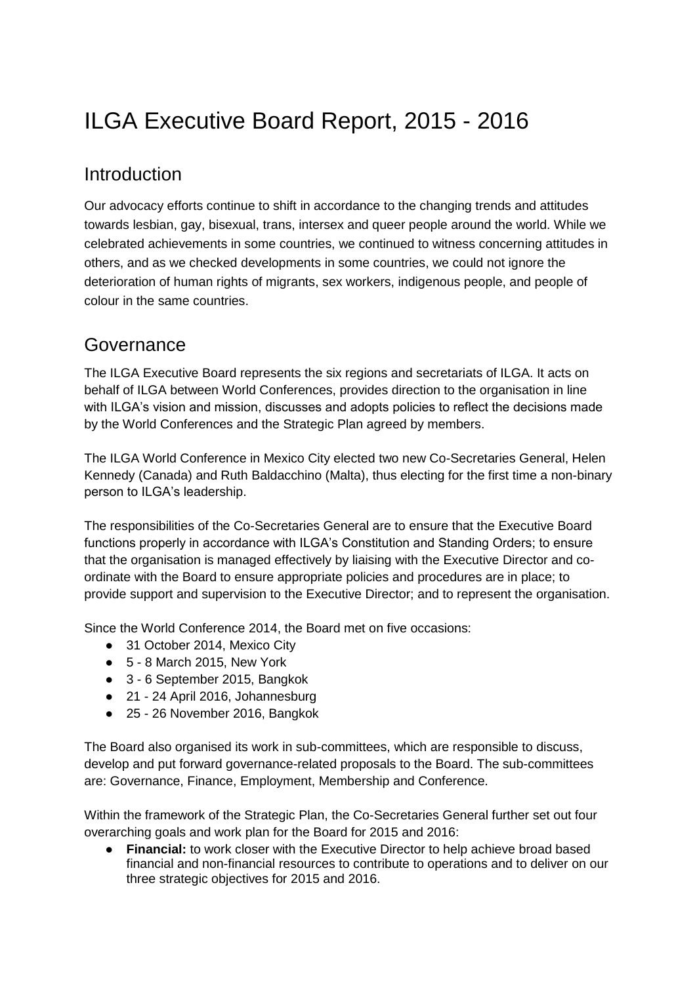# ILGA Executive Board Report, 2015 - 2016

### Introduction

Our advocacy efforts continue to shift in accordance to the changing trends and attitudes towards lesbian, gay, bisexual, trans, intersex and queer people around the world. While we celebrated achievements in some countries, we continued to witness concerning attitudes in others, and as we checked developments in some countries, we could not ignore the deterioration of human rights of migrants, sex workers, indigenous people, and people of colour in the same countries.

### Governance

The ILGA Executive Board represents the six regions and secretariats of ILGA. It acts on behalf of ILGA between World Conferences, provides direction to the organisation in line with ILGA's vision and mission, discusses and adopts policies to reflect the decisions made by the World Conferences and the Strategic Plan agreed by members.

The ILGA World Conference in Mexico City elected two new Co-Secretaries General, Helen Kennedy (Canada) and Ruth Baldacchino (Malta), thus electing for the first time a non-binary person to ILGA's leadership.

The responsibilities of the Co-Secretaries General are to ensure that the Executive Board functions properly in accordance with ILGA's Constitution and Standing Orders; to ensure that the organisation is managed effectively by liaising with the Executive Director and coordinate with the Board to ensure appropriate policies and procedures are in place; to provide support and supervision to the Executive Director; and to represent the organisation.

Since the World Conference 2014, the Board met on five occasions:

- 31 October 2014, Mexico City
- $\bullet$  5 8 March 2015, New York
- 3 6 September 2015, Bangkok
- 21 24 April 2016, Johannesburg
- 25 26 November 2016, Bangkok

The Board also organised its work in sub-committees, which are responsible to discuss, develop and put forward governance-related proposals to the Board. The sub-committees are: Governance, Finance, Employment, Membership and Conference.

Within the framework of the Strategic Plan, the Co-Secretaries General further set out four overarching goals and work plan for the Board for 2015 and 2016:

**Financial:** to work closer with the Executive Director to help achieve broad based financial and non-financial resources to contribute to operations and to deliver on our three strategic objectives for 2015 and 2016.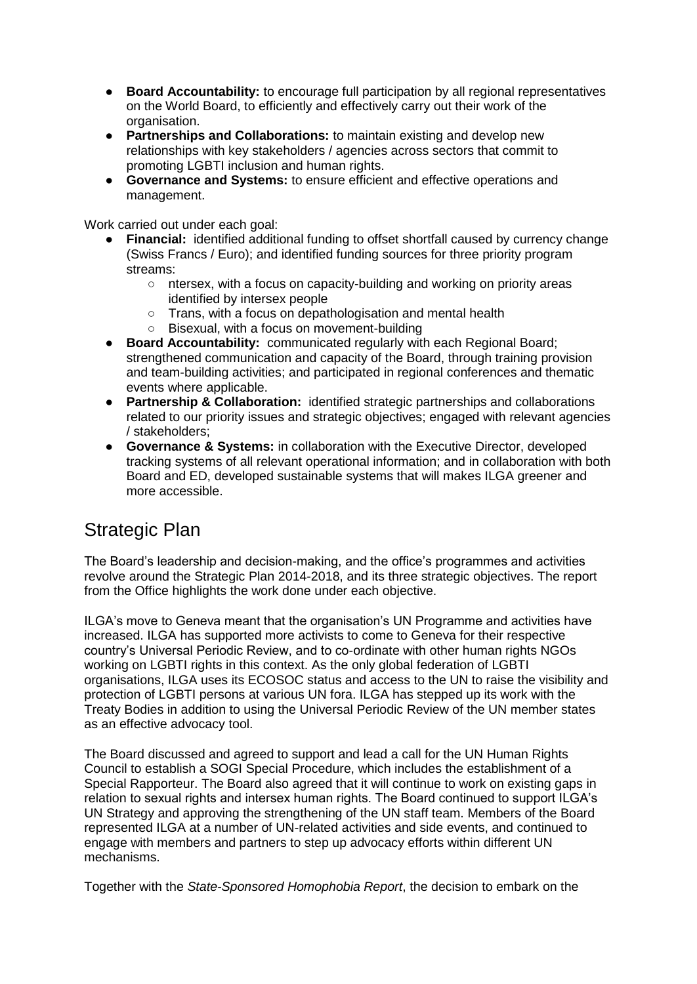- **Board Accountability:** to encourage full participation by all regional representatives on the World Board, to efficiently and effectively carry out their work of the organisation.
- **Partnerships and Collaborations:** to maintain existing and develop new relationships with key stakeholders / agencies across sectors that commit to promoting LGBTI inclusion and human rights.
- **Governance and Systems:** to ensure efficient and effective operations and management.

Work carried out under each goal:

- **Financial:** identified additional funding to offset shortfall caused by currency change (Swiss Francs / Euro); and identified funding sources for three priority program streams:
	- ntersex, with a focus on capacity-building and working on priority areas identified by intersex people
	- Trans, with a focus on depathologisation and mental health
	- Bisexual, with a focus on movement-building
- **Board Accountability:** communicated regularly with each Regional Board; strengthened communication and capacity of the Board, through training provision and team-building activities; and participated in regional conferences and thematic events where applicable.
- **Partnership & Collaboration:** identified strategic partnerships and collaborations related to our priority issues and strategic objectives; engaged with relevant agencies / stakeholders;
- **Governance & Systems:** in collaboration with the Executive Director, developed tracking systems of all relevant operational information; and in collaboration with both Board and ED, developed sustainable systems that will makes ILGA greener and more accessible.

### Strategic Plan

The Board's leadership and decision-making, and the office's programmes and activities revolve around the Strategic Plan 2014-2018, and its three strategic objectives. The report from the Office highlights the work done under each objective.

ILGA's move to Geneva meant that the organisation's UN Programme and activities have increased. ILGA has supported more activists to come to Geneva for their respective country's Universal Periodic Review, and to co-ordinate with other human rights NGOs working on LGBTI rights in this context. As the only global federation of LGBTI organisations, ILGA uses its ECOSOC status and access to the UN to raise the visibility and protection of LGBTI persons at various UN fora. ILGA has stepped up its work with the Treaty Bodies in addition to using the Universal Periodic Review of the UN member states as an effective advocacy tool.

The Board discussed and agreed to support and lead a call for the UN Human Rights Council to establish a SOGI Special Procedure, which includes the establishment of a Special Rapporteur. The Board also agreed that it will continue to work on existing gaps in relation to sexual rights and intersex human rights. The Board continued to support ILGA's UN Strategy and approving the strengthening of the UN staff team. Members of the Board represented ILGA at a number of UN-related activities and side events, and continued to engage with members and partners to step up advocacy efforts within different UN mechanisms.

Together with the *State-Sponsored Homophobia Report*, the decision to embark on the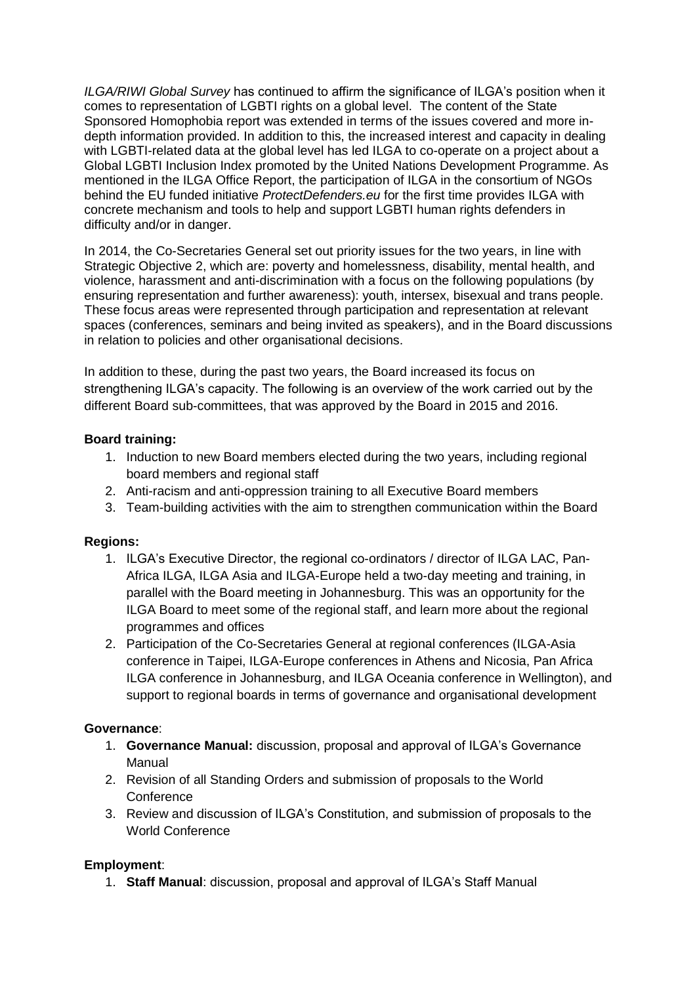*ILGA/RIWI Global Survey* has continued to affirm the significance of ILGA's position when it comes to representation of LGBTI rights on a global level. The content of the State Sponsored Homophobia report was extended in terms of the issues covered and more indepth information provided. In addition to this, the increased interest and capacity in dealing with LGBTI-related data at the global level has led ILGA to co-operate on a project about a Global LGBTI Inclusion Index promoted by the United Nations Development Programme. As mentioned in the ILGA Office Report, the participation of ILGA in the consortium of NGOs behind the EU funded initiative *ProtectDefenders.eu* for the first time provides ILGA with concrete mechanism and tools to help and support LGBTI human rights defenders in difficulty and/or in danger.

In 2014, the Co-Secretaries General set out priority issues for the two years, in line with Strategic Objective 2, which are: poverty and homelessness, disability, mental health, and violence, harassment and anti-discrimination with a focus on the following populations (by ensuring representation and further awareness): youth, intersex, bisexual and trans people. These focus areas were represented through participation and representation at relevant spaces (conferences, seminars and being invited as speakers), and in the Board discussions in relation to policies and other organisational decisions.

In addition to these, during the past two years, the Board increased its focus on strengthening ILGA's capacity. The following is an overview of the work carried out by the different Board sub-committees, that was approved by the Board in 2015 and 2016.

### **Board training:**

- 1. Induction to new Board members elected during the two years, including regional board members and regional staff
- 2. Anti-racism and anti-oppression training to all Executive Board members
- 3. Team-building activities with the aim to strengthen communication within the Board

### **Regions:**

- 1. ILGA's Executive Director, the regional co-ordinators / director of ILGA LAC, Pan-Africa ILGA, ILGA Asia and ILGA-Europe held a two-day meeting and training, in parallel with the Board meeting in Johannesburg. This was an opportunity for the ILGA Board to meet some of the regional staff, and learn more about the regional programmes and offices
- 2. Participation of the Co-Secretaries General at regional conferences (ILGA-Asia conference in Taipei, ILGA-Europe conferences in Athens and Nicosia, Pan Africa ILGA conference in Johannesburg, and ILGA Oceania conference in Wellington), and support to regional boards in terms of governance and organisational development

### **Governance**:

- 1. **Governance Manual:** discussion, proposal and approval of ILGA's Governance Manual
- 2. Revision of all Standing Orders and submission of proposals to the World **Conference**
- 3. Review and discussion of ILGA's Constitution, and submission of proposals to the World Conference

### **Employment**:

1. **Staff Manual**: discussion, proposal and approval of ILGA's Staff Manual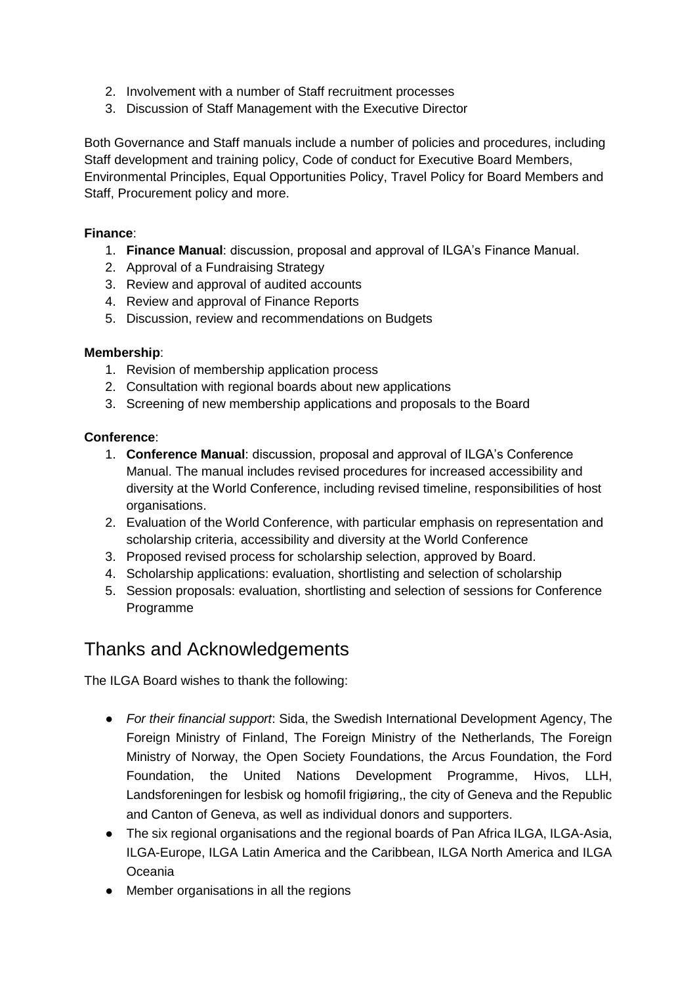- 2. Involvement with a number of Staff recruitment processes
- 3. Discussion of Staff Management with the Executive Director

Both Governance and Staff manuals include a number of policies and procedures, including Staff development and training policy, Code of conduct for Executive Board Members, Environmental Principles, Equal Opportunities Policy, Travel Policy for Board Members and Staff, Procurement policy and more.

### **Finance**:

- 1. **Finance Manual**: discussion, proposal and approval of ILGA's Finance Manual.
- 2. Approval of a Fundraising Strategy
- 3. Review and approval of audited accounts
- 4. Review and approval of Finance Reports
- 5. Discussion, review and recommendations on Budgets

#### **Membership**:

- 1. Revision of membership application process
- 2. Consultation with regional boards about new applications
- 3. Screening of new membership applications and proposals to the Board

### **Conference**:

- 1. **Conference Manual**: discussion, proposal and approval of ILGA's Conference Manual. The manual includes revised procedures for increased accessibility and diversity at the World Conference, including revised timeline, responsibilities of host organisations.
- 2. Evaluation of the World Conference, with particular emphasis on representation and scholarship criteria, accessibility and diversity at the World Conference
- 3. Proposed revised process for scholarship selection, approved by Board.
- 4. Scholarship applications: evaluation, shortlisting and selection of scholarship
- 5. Session proposals: evaluation, shortlisting and selection of sessions for Conference Programme

### Thanks and Acknowledgements

The ILGA Board wishes to thank the following:

- *For their financial support*: Sida, the Swedish International Development Agency, The Foreign Ministry of Finland, The Foreign Ministry of the Netherlands, The Foreign Ministry of Norway, the Open Society Foundations, the Arcus Foundation, the Ford Foundation, the United Nations Development Programme, Hivos, LLH, Landsforeningen for lesbisk og homofil frigiøring,, the city of Geneva and the Republic and Canton of Geneva, as well as individual donors and supporters.
- The six regional organisations and the regional boards of Pan Africa ILGA, ILGA-Asia, ILGA-Europe, ILGA Latin America and the Caribbean, ILGA North America and ILGA Oceania
- Member organisations in all the regions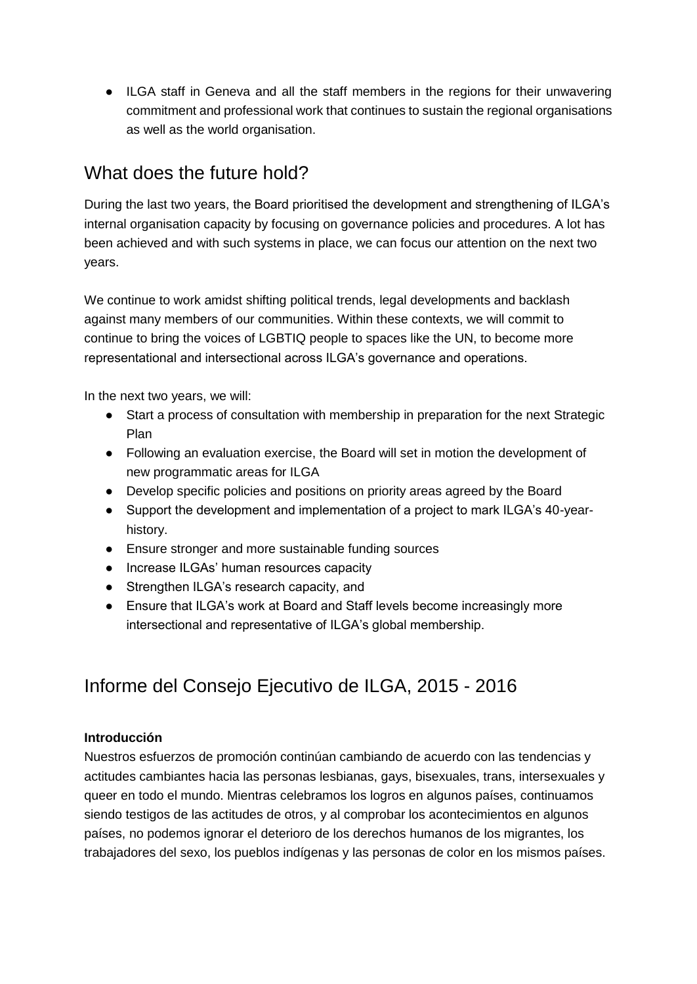● ILGA staff in Geneva and all the staff members in the regions for their unwavering commitment and professional work that continues to sustain the regional organisations as well as the world organisation.

# What does the future hold?

During the last two years, the Board prioritised the development and strengthening of ILGA's internal organisation capacity by focusing on governance policies and procedures. A lot has been achieved and with such systems in place, we can focus our attention on the next two years.

We continue to work amidst shifting political trends, legal developments and backlash against many members of our communities. Within these contexts, we will commit to continue to bring the voices of LGBTIQ people to spaces like the UN, to become more representational and intersectional across ILGA's governance and operations.

In the next two years, we will:

- Start a process of consultation with membership in preparation for the next Strategic Plan
- Following an evaluation exercise, the Board will set in motion the development of new programmatic areas for ILGA
- Develop specific policies and positions on priority areas agreed by the Board
- Support the development and implementation of a project to mark ILGA's 40-yearhistory.
- Ensure stronger and more sustainable funding sources
- Increase ILGAs' human resources capacity
- Strengthen ILGA's research capacity, and
- Ensure that ILGA's work at Board and Staff levels become increasingly more intersectional and representative of ILGA's global membership.

# Informe del Consejo Ejecutivo de ILGA, 2015 - 2016

### **Introducción**

Nuestros esfuerzos de promoción continúan cambiando de acuerdo con las tendencias y actitudes cambiantes hacia las personas lesbianas, gays, bisexuales, trans, intersexuales y queer en todo el mundo. Mientras celebramos los logros en algunos países, continuamos siendo testigos de las actitudes de otros, y al comprobar los acontecimientos en algunos países, no podemos ignorar el deterioro de los derechos humanos de los migrantes, los trabajadores del sexo, los pueblos indígenas y las personas de color en los mismos países.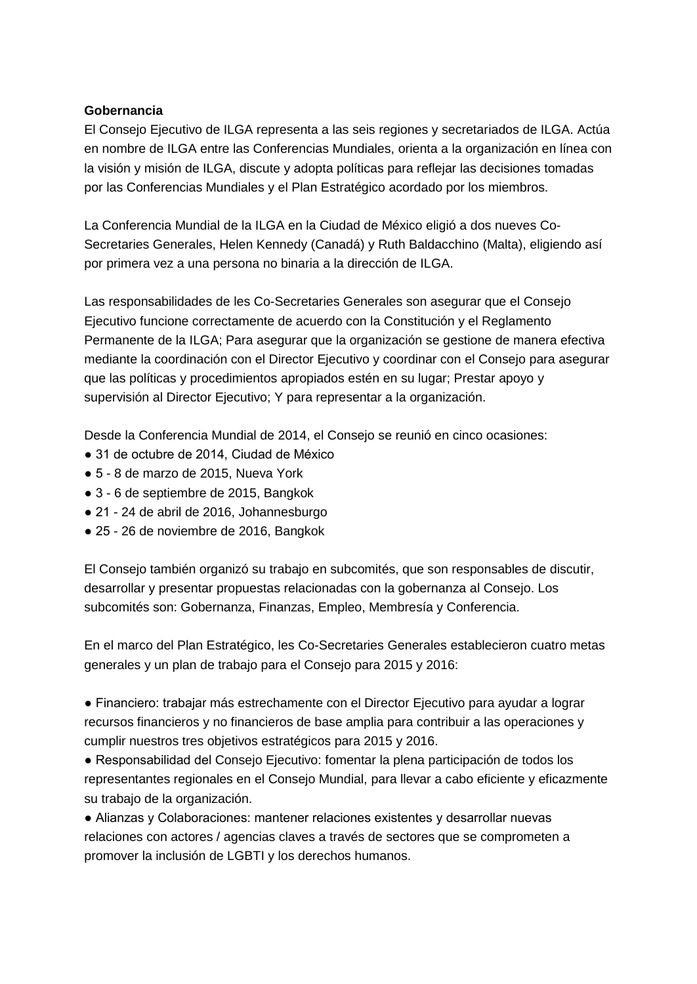#### **Gobernancia**

El Consejo Ejecutivo de ILGA representa a las seis regiones y secretariados de ILGA. Actúa en nombre de ILGA entre las Conferencias Mundiales, orienta a la organización en línea con la visión y misión de ILGA, discute y adopta políticas para reflejar las decisiones tomadas por las Conferencias Mundiales y el Plan Estratégico acordado por los miembros.

La Conferencia Mundial de la ILGA en la Ciudad de México eligió a dos nueves Co-Secretaries Generales, Helen Kennedy (Canadá) y Ruth Baldacchino (Malta), eligiendo así por primera vez a una persona no binaria a la dirección de ILGA.

Las responsabilidades de les Co-Secretaries Generales son asegurar que el Consejo Ejecutivo funcione correctamente de acuerdo con la Constitución y el Reglamento Permanente de la ILGA; Para asegurar que la organización se gestione de manera efectiva mediante la coordinación con el Director Ejecutivo y coordinar con el Consejo para asegurar que las políticas y procedimientos apropiados estén en su lugar; Prestar apoyo y supervisión al Director Ejecutivo; Y para representar a la organización.

Desde la Conferencia Mundial de 2014, el Consejo se reunió en cinco ocasiones:

- 31 de octubre de 2014, Ciudad de México
- 5 8 de marzo de 2015, Nueva York
- 3 6 de septiembre de 2015, Bangkok
- 21 24 de abril de 2016, Johannesburgo
- 25 26 de noviembre de 2016, Bangkok

El Consejo también organizó su trabajo en subcomités, que son responsables de discutir, desarrollar y presentar propuestas relacionadas con la gobernanza al Consejo. Los subcomités son: Gobernanza, Finanzas, Empleo, Membresía y Conferencia.

En el marco del Plan Estratégico, les Co-Secretaries Generales establecieron cuatro metas generales y un plan de trabajo para el Consejo para 2015 y 2016:

● Financiero: trabajar más estrechamente con el Director Ejecutivo para ayudar a lograr recursos financieros y no financieros de base amplia para contribuir a las operaciones y cumplir nuestros tres objetivos estratégicos para 2015 y 2016.

● Responsabilidad del Consejo Ejecutivo: fomentar la plena participación de todos los representantes regionales en el Consejo Mundial, para llevar a cabo eficiente y eficazmente su trabajo de la organización.

● Alianzas y Colaboraciones: mantener relaciones existentes y desarrollar nuevas relaciones con actores / agencias claves a través de sectores que se comprometen a promover la inclusión de LGBTI y los derechos humanos.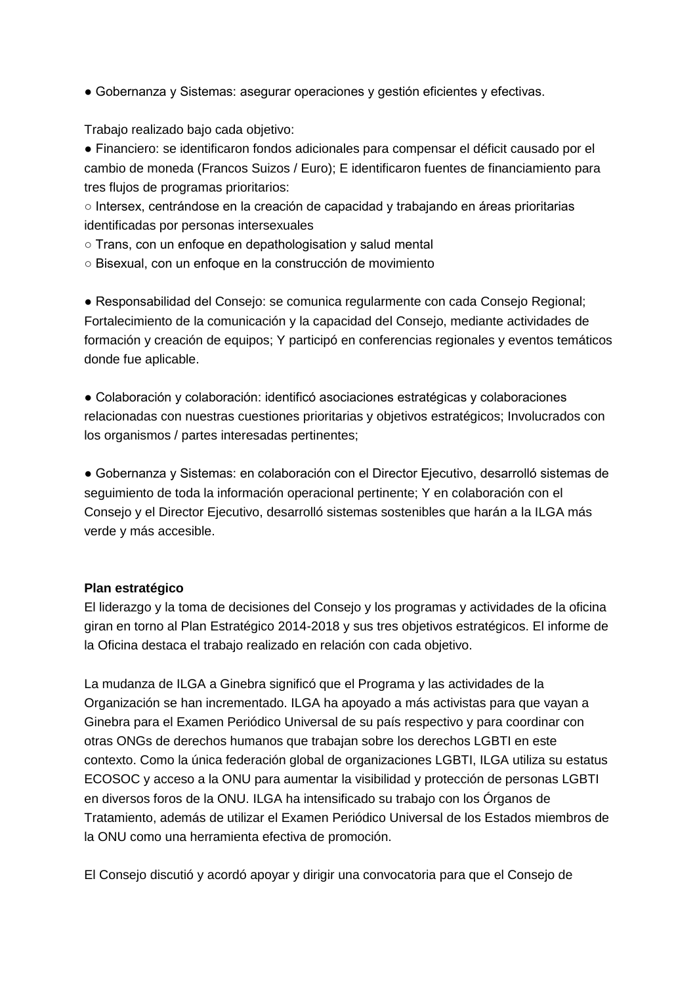■ Gobernanza y Sistemas: asegurar operaciones y gestión eficientes y efectivas.

Trabajo realizado bajo cada objetivo:

● Financiero: se identificaron fondos adicionales para compensar el déficit causado por el cambio de moneda (Francos Suizos / Euro); E identificaron fuentes de financiamiento para tres flujos de programas prioritarios:

○ Intersex, centrándose en la creación de capacidad y trabajando en áreas prioritarias identificadas por personas intersexuales

- Trans, con un enfoque en depathologisation y salud mental
- Bisexual, con un enfoque en la construcción de movimiento

● Responsabilidad del Consejo: se comunica regularmente con cada Consejo Regional; Fortalecimiento de la comunicación y la capacidad del Consejo, mediante actividades de formación y creación de equipos; Y participó en conferencias regionales y eventos temáticos donde fue aplicable.

● Colaboración y colaboración: identificó asociaciones estratégicas y colaboraciones relacionadas con nuestras cuestiones prioritarias y objetivos estratégicos; Involucrados con los organismos / partes interesadas pertinentes;

● Gobernanza y Sistemas: en colaboración con el Director Ejecutivo, desarrolló sistemas de seguimiento de toda la información operacional pertinente; Y en colaboración con el Consejo y el Director Ejecutivo, desarrolló sistemas sostenibles que harán a la ILGA más verde y más accesible.

### **Plan estratégico**

El liderazgo y la toma de decisiones del Consejo y los programas y actividades de la oficina giran en torno al Plan Estratégico 2014-2018 y sus tres objetivos estratégicos. El informe de la Oficina destaca el trabajo realizado en relación con cada objetivo.

La mudanza de ILGA a Ginebra significó que el Programa y las actividades de la Organización se han incrementado. ILGA ha apoyado a más activistas para que vayan a Ginebra para el Examen Periódico Universal de su país respectivo y para coordinar con otras ONGs de derechos humanos que trabajan sobre los derechos LGBTI en este contexto. Como la única federación global de organizaciones LGBTI, ILGA utiliza su estatus ECOSOC y acceso a la ONU para aumentar la visibilidad y protección de personas LGBTI en diversos foros de la ONU. ILGA ha intensificado su trabajo con los Órganos de Tratamiento, además de utilizar el Examen Periódico Universal de los Estados miembros de la ONU como una herramienta efectiva de promoción.

El Consejo discutió y acordó apoyar y dirigir una convocatoria para que el Consejo de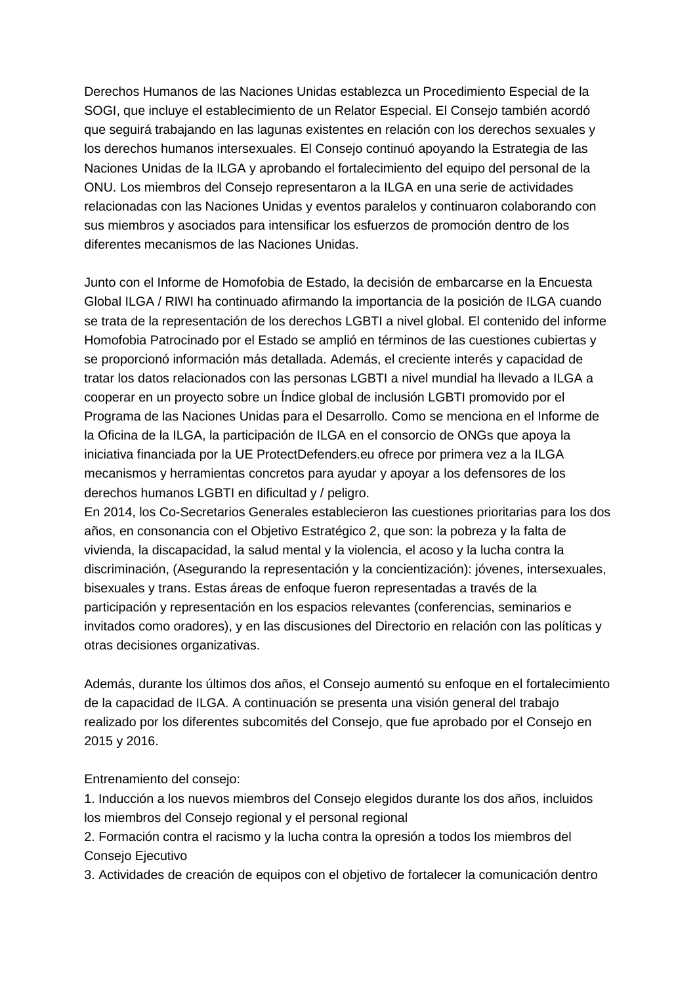Derechos Humanos de las Naciones Unidas establezca un Procedimiento Especial de la SOGI, que incluye el establecimiento de un Relator Especial. El Consejo también acordó que seguirá trabajando en las lagunas existentes en relación con los derechos sexuales y los derechos humanos intersexuales. El Consejo continuó apoyando la Estrategia de las Naciones Unidas de la ILGA y aprobando el fortalecimiento del equipo del personal de la ONU. Los miembros del Consejo representaron a la ILGA en una serie de actividades relacionadas con las Naciones Unidas y eventos paralelos y continuaron colaborando con sus miembros y asociados para intensificar los esfuerzos de promoción dentro de los diferentes mecanismos de las Naciones Unidas.

Junto con el Informe de Homofobia de Estado, la decisión de embarcarse en la Encuesta Global ILGA / RIWI ha continuado afirmando la importancia de la posición de ILGA cuando se trata de la representación de los derechos LGBTI a nivel global. El contenido del informe Homofobia Patrocinado por el Estado se amplió en términos de las cuestiones cubiertas y se proporcionó información más detallada. Además, el creciente interés y capacidad de tratar los datos relacionados con las personas LGBTI a nivel mundial ha llevado a ILGA a cooperar en un proyecto sobre un Índice global de inclusión LGBTI promovido por el Programa de las Naciones Unidas para el Desarrollo. Como se menciona en el Informe de la Oficina de la ILGA, la participación de ILGA en el consorcio de ONGs que apoya la iniciativa financiada por la UE ProtectDefenders.eu ofrece por primera vez a la ILGA mecanismos y herramientas concretos para ayudar y apoyar a los defensores de los derechos humanos LGBTI en dificultad y / peligro.

En 2014, los Co-Secretarios Generales establecieron las cuestiones prioritarias para los dos años, en consonancia con el Objetivo Estratégico 2, que son: la pobreza y la falta de vivienda, la discapacidad, la salud mental y la violencia, el acoso y la lucha contra la discriminación, (Asegurando la representación y la concientización): jóvenes, intersexuales, bisexuales y trans. Estas áreas de enfoque fueron representadas a través de la participación y representación en los espacios relevantes (conferencias, seminarios e invitados como oradores), y en las discusiones del Directorio en relación con las políticas y otras decisiones organizativas.

Además, durante los últimos dos años, el Consejo aumentó su enfoque en el fortalecimiento de la capacidad de ILGA. A continuación se presenta una visión general del trabajo realizado por los diferentes subcomités del Consejo, que fue aprobado por el Consejo en 2015 y 2016.

Entrenamiento del consejo:

1. Inducción a los nuevos miembros del Consejo elegidos durante los dos años, incluidos los miembros del Consejo regional y el personal regional

2. Formación contra el racismo y la lucha contra la opresión a todos los miembros del Consejo Ejecutivo

3. Actividades de creación de equipos con el objetivo de fortalecer la comunicación dentro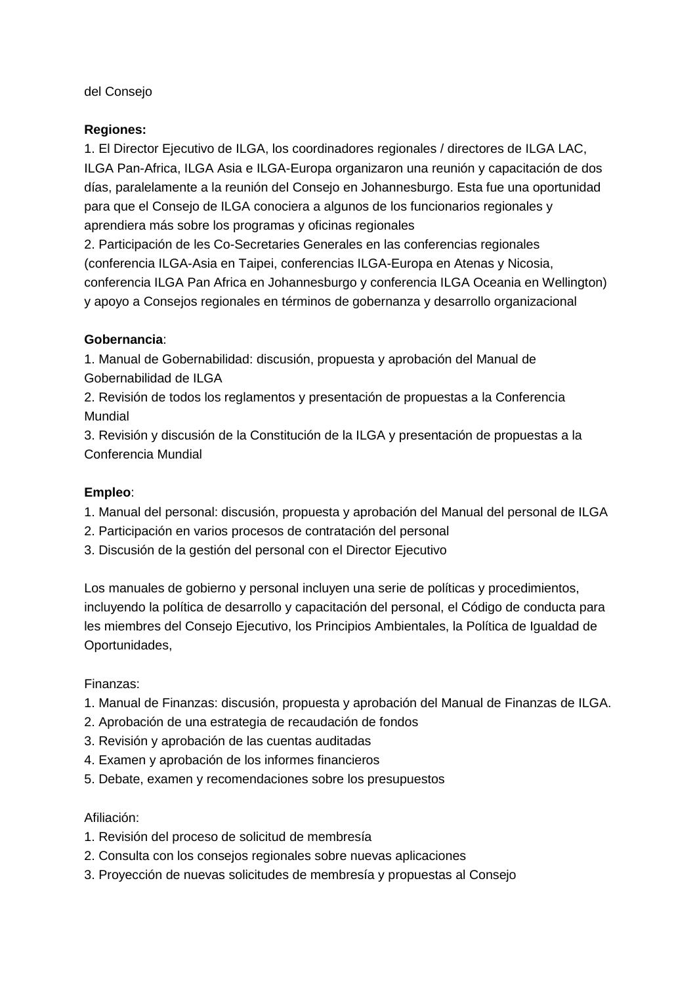### del Consejo

#### **Regiones:**

1. El Director Ejecutivo de ILGA, los coordinadores regionales / directores de ILGA LAC, ILGA Pan-Africa, ILGA Asia e ILGA-Europa organizaron una reunión y capacitación de dos días, paralelamente a la reunión del Consejo en Johannesburgo. Esta fue una oportunidad para que el Consejo de ILGA conociera a algunos de los funcionarios regionales y aprendiera más sobre los programas y oficinas regionales

2. Participación de les Co-Secretaries Generales en las conferencias regionales (conferencia ILGA-Asia en Taipei, conferencias ILGA-Europa en Atenas y Nicosia, conferencia ILGA Pan Africa en Johannesburgo y conferencia ILGA Oceania en Wellington) y apoyo a Consejos regionales en términos de gobernanza y desarrollo organizacional

### **Gobernancia**:

1. Manual de Gobernabilidad: discusión, propuesta y aprobación del Manual de Gobernabilidad de ILGA

2. Revisión de todos los reglamentos y presentación de propuestas a la Conferencia Mundial

3. Revisión y discusión de la Constitución de la ILGA y presentación de propuestas a la Conferencia Mundial

### **Empleo**:

- 1. Manual del personal: discusión, propuesta y aprobación del Manual del personal de ILGA
- 2. Participación en varios procesos de contratación del personal
- 3. Discusión de la gestión del personal con el Director Ejecutivo

Los manuales de gobierno y personal incluyen una serie de políticas y procedimientos, incluyendo la política de desarrollo y capacitación del personal, el Código de conducta para les miembres del Consejo Ejecutivo, los Principios Ambientales, la Política de Igualdad de Oportunidades,

### Finanzas:

- 1. Manual de Finanzas: discusión, propuesta y aprobación del Manual de Finanzas de ILGA.
- 2. Aprobación de una estrategia de recaudación de fondos
- 3. Revisión y aprobación de las cuentas auditadas
- 4. Examen y aprobación de los informes financieros
- 5. Debate, examen y recomendaciones sobre los presupuestos

#### Afiliación:

- 1. Revisión del proceso de solicitud de membresía
- 2. Consulta con los consejos regionales sobre nuevas aplicaciones
- 3. Proyección de nuevas solicitudes de membresía y propuestas al Consejo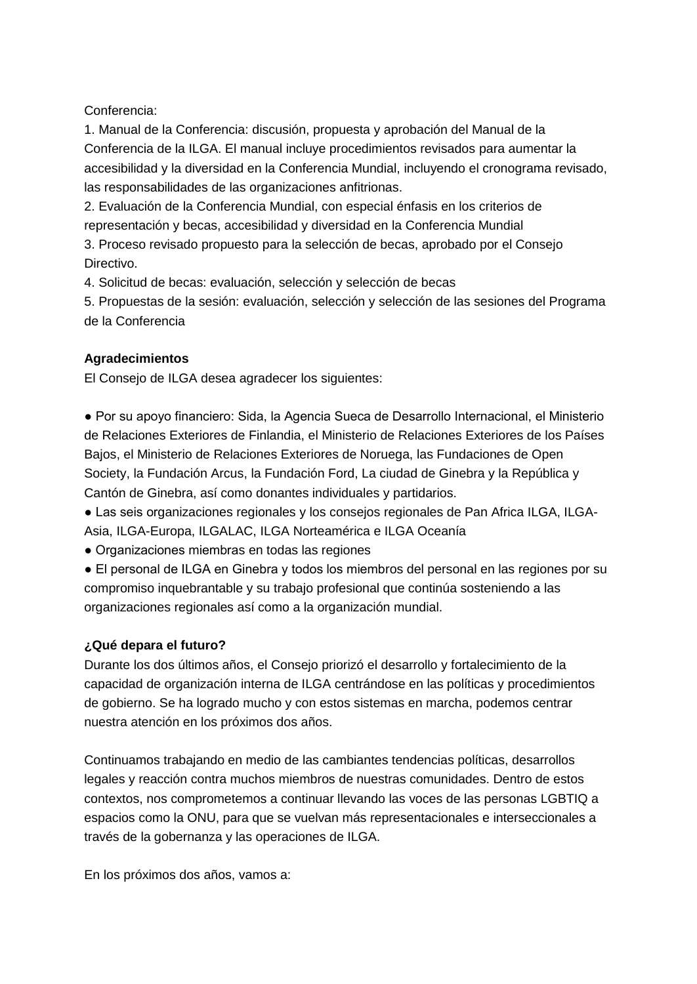Conferencia:

1. Manual de la Conferencia: discusión, propuesta y aprobación del Manual de la Conferencia de la ILGA. El manual incluye procedimientos revisados para aumentar la accesibilidad y la diversidad en la Conferencia Mundial, incluyendo el cronograma revisado, las responsabilidades de las organizaciones anfitrionas.

2. Evaluación de la Conferencia Mundial, con especial énfasis en los criterios de representación y becas, accesibilidad y diversidad en la Conferencia Mundial

3. Proceso revisado propuesto para la selección de becas, aprobado por el Consejo Directivo.

4. Solicitud de becas: evaluación, selección y selección de becas

5. Propuestas de la sesión: evaluación, selección y selección de las sesiones del Programa de la Conferencia

### **Agradecimientos**

El Consejo de ILGA desea agradecer los siguientes:

● Por su apoyo financiero: Sida, la Agencia Sueca de Desarrollo Internacional, el Ministerio de Relaciones Exteriores de Finlandia, el Ministerio de Relaciones Exteriores de los Países Bajos, el Ministerio de Relaciones Exteriores de Noruega, las Fundaciones de Open Society, la Fundación Arcus, la Fundación Ford, La ciudad de Ginebra y la República y Cantón de Ginebra, así como donantes individuales y partidarios.

● Las seis organizaciones regionales y los consejos regionales de Pan Africa ILGA, ILGA-Asia, ILGA-Europa, ILGALAC, ILGA Norteamérica e ILGA Oceanía

● Organizaciones miembras en todas las regiones

● El personal de ILGA en Ginebra y todos los miembros del personal en las regiones por su compromiso inquebrantable y su trabajo profesional que continúa sosteniendo a las organizaciones regionales así como a la organización mundial.

### **¿Qué depara el futuro?**

Durante los dos últimos años, el Consejo priorizó el desarrollo y fortalecimiento de la capacidad de organización interna de ILGA centrándose en las políticas y procedimientos de gobierno. Se ha logrado mucho y con estos sistemas en marcha, podemos centrar nuestra atención en los próximos dos años.

Continuamos trabajando en medio de las cambiantes tendencias políticas, desarrollos legales y reacción contra muchos miembros de nuestras comunidades. Dentro de estos contextos, nos comprometemos a continuar llevando las voces de las personas LGBTIQ a espacios como la ONU, para que se vuelvan más representacionales e interseccionales a través de la gobernanza y las operaciones de ILGA.

En los próximos dos años, vamos a: